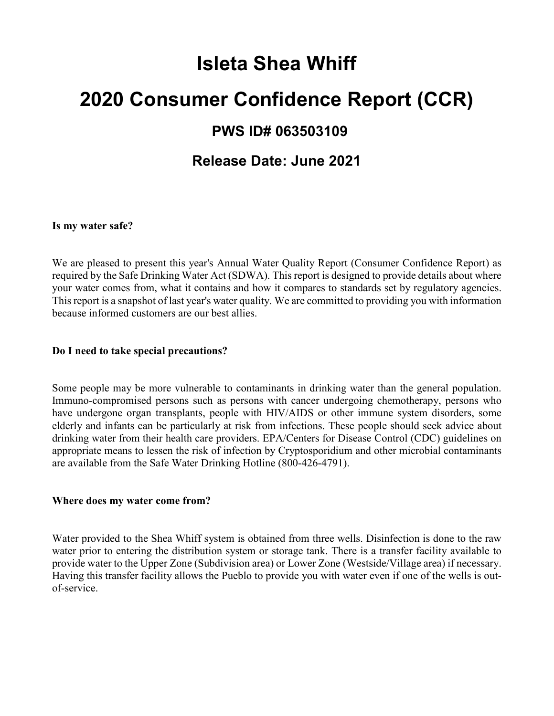# **Isleta Shea Whiff 2020 Consumer Confidence Report (CCR) PWS ID# 063503109 Release Date: June 2021**

#### **Is my water safe?**

We are pleased to present this year's Annual Water Quality Report (Consumer Confidence Report) as required by the Safe Drinking Water Act (SDWA). This report is designed to provide details about where your water comes from, what it contains and how it compares to standards set by regulatory agencies. This report is a snapshot of last year's water quality. We are committed to providing you with information because informed customers are our best allies.

#### **Do I need to take special precautions?**

Some people may be more vulnerable to contaminants in drinking water than the general population. Immuno-compromised persons such as persons with cancer undergoing chemotherapy, persons who have undergone organ transplants, people with HIV/AIDS or other immune system disorders, some elderly and infants can be particularly at risk from infections. These people should seek advice about drinking water from their health care providers. EPA/Centers for Disease Control (CDC) guidelines on appropriate means to lessen the risk of infection by Cryptosporidium and other microbial contaminants are available from the Safe Water Drinking Hotline (800-426-4791).

#### **Where does my water come from?**

Water provided to the Shea Whiff system is obtained from three wells. Disinfection is done to the raw water prior to entering the distribution system or storage tank. There is a transfer facility available to provide water to the Upper Zone (Subdivision area) or Lower Zone (Westside/Village area) if necessary. Having this transfer facility allows the Pueblo to provide you with water even if one of the wells is outof-service.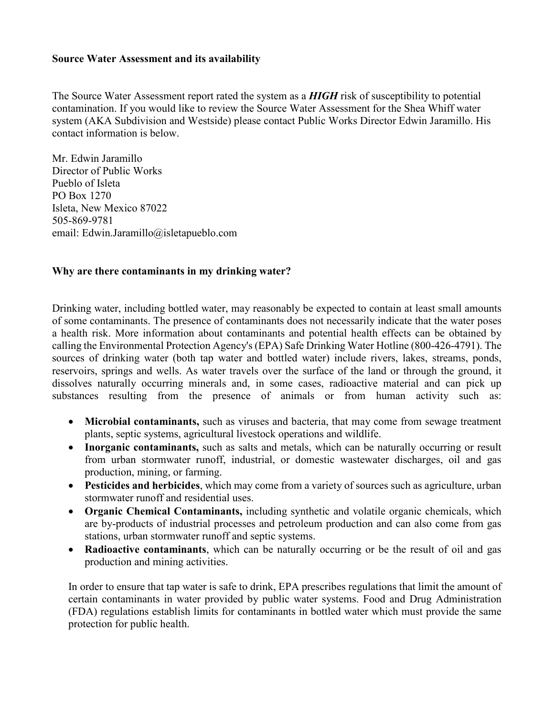#### **Source Water Assessment and its availability**

The Source Water Assessment report rated the system as a *HIGH* risk of susceptibility to potential contamination. If you would like to review the Source Water Assessment for the Shea Whiff water system (AKA Subdivision and Westside) please contact Public Works Director Edwin Jaramillo. His contact information is below.

Mr. Edwin Jaramillo Director of Public Works Pueblo of Isleta PO Box 1270 Isleta, New Mexico 87022 505-869-9781 email: Edwin.Jaramillo@isletapueblo.com

#### **Why are there contaminants in my drinking water?**

Drinking water, including bottled water, may reasonably be expected to contain at least small amounts of some contaminants. The presence of contaminants does not necessarily indicate that the water poses a health risk. More information about contaminants and potential health effects can be obtained by calling the Environmental Protection Agency's (EPA) Safe Drinking Water Hotline (800-426-4791). The sources of drinking water (both tap water and bottled water) include rivers, lakes, streams, ponds, reservoirs, springs and wells. As water travels over the surface of the land or through the ground, it dissolves naturally occurring minerals and, in some cases, radioactive material and can pick up substances resulting from the presence of animals or from human activity such as:

- **Microbial contaminants,** such as viruses and bacteria, that may come from sewage treatment plants, septic systems, agricultural livestock operations and wildlife.
- **Inorganic contaminants,** such as salts and metals, which can be naturally occurring or result from urban stormwater runoff, industrial, or domestic wastewater discharges, oil and gas production, mining, or farming.
- **Pesticides and herbicides**, which may come from a variety of sources such as agriculture, urban stormwater runoff and residential uses.
- **Organic Chemical Contaminants,** including synthetic and volatile organic chemicals, which are by-products of industrial processes and petroleum production and can also come from gas stations, urban stormwater runoff and septic systems.
- **Radioactive contaminants**, which can be naturally occurring or be the result of oil and gas production and mining activities.

In order to ensure that tap water is safe to drink, EPA prescribes regulations that limit the amount of certain contaminants in water provided by public water systems. Food and Drug Administration (FDA) regulations establish limits for contaminants in bottled water which must provide the same protection for public health.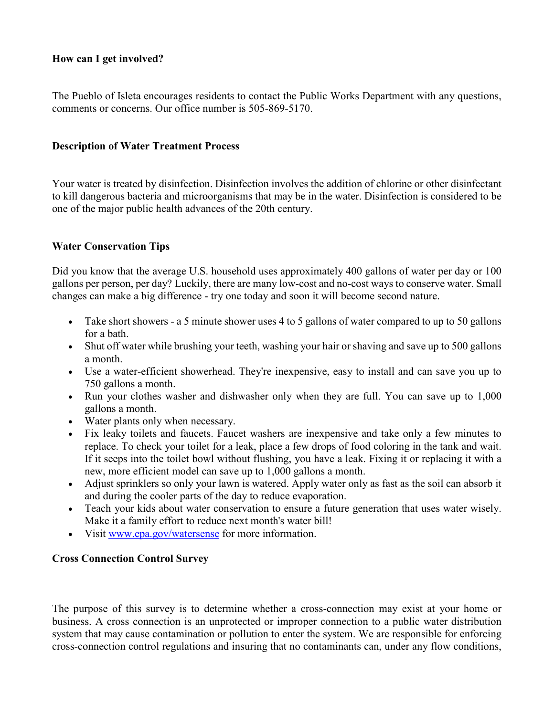#### **How can I get involved?**

The Pueblo of Isleta encourages residents to contact the Public Works Department with any questions, comments or concerns. Our office number is 505-869-5170.

#### **Description of Water Treatment Process**

Your water is treated by disinfection. Disinfection involves the addition of chlorine or other disinfectant to kill dangerous bacteria and microorganisms that may be in the water. Disinfection is considered to be one of the major public health advances of the 20th century.

#### **Water Conservation Tips**

Did you know that the average U.S. household uses approximately 400 gallons of water per day or 100 gallons per person, per day? Luckily, there are many low-cost and no-cost ways to conserve water. Small changes can make a big difference - try one today and soon it will become second nature.

- Take short showers a 5 minute shower uses 4 to 5 gallons of water compared to up to 50 gallons for a bath.
- Shut off water while brushing your teeth, washing your hair or shaving and save up to 500 gallons a month.
- Use a water-efficient showerhead. They're inexpensive, easy to install and can save you up to 750 gallons a month.
- Run your clothes washer and dishwasher only when they are full. You can save up to 1,000 gallons a month.
- Water plants only when necessary.
- Fix leaky toilets and faucets. Faucet washers are inexpensive and take only a few minutes to replace. To check your toilet for a leak, place a few drops of food coloring in the tank and wait. If it seeps into the toilet bowl without flushing, you have a leak. Fixing it or replacing it with a new, more efficient model can save up to 1,000 gallons a month.
- Adjust sprinklers so only your lawn is watered. Apply water only as fast as the soil can absorb it and during the cooler parts of the day to reduce evaporation.
- Teach your kids about water conservation to ensure a future generation that uses water wisely. Make it a family effort to reduce next month's water bill!
- Visit [www.epa.gov/watersense](http://www.epa.gov/watersense) for more information.

## **Cross Connection Control Survey**

The purpose of this survey is to determine whether a cross-connection may exist at your home or business. A cross connection is an unprotected or improper connection to a public water distribution system that may cause contamination or pollution to enter the system. We are responsible for enforcing cross-connection control regulations and insuring that no contaminants can, under any flow conditions,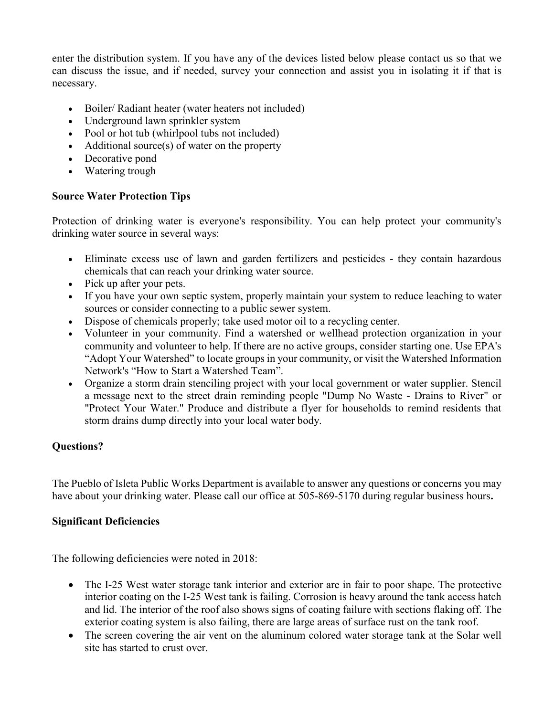enter the distribution system. If you have any of the devices listed below please contact us so that we can discuss the issue, and if needed, survey your connection and assist you in isolating it if that is necessary.

- Boiler/ Radiant heater (water heaters not included)
- Underground lawn sprinkler system
- Pool or hot tub (whirlpool tubs not included)
- Additional source(s) of water on the property
- Decorative pond
- Watering trough

# **Source Water Protection Tips**

Protection of drinking water is everyone's responsibility. You can help protect your community's drinking water source in several ways:

- Eliminate excess use of lawn and garden fertilizers and pesticides they contain hazardous chemicals that can reach your drinking water source.
- Pick up after your pets.
- If you have your own septic system, properly maintain your system to reduce leaching to water sources or consider connecting to a public sewer system.
- Dispose of chemicals properly; take used motor oil to a recycling center.
- Volunteer in your community. Find a watershed or wellhead protection organization in your community and volunteer to help. If there are no active groups, consider starting one. Use EPA's "Adopt Your Watershed" to locate groups in your community, or visit the Watershed Information Network's "How to Start a Watershed Team".
- Organize a storm drain stenciling project with your local government or water supplier. Stencil a message next to the street drain reminding people "Dump No Waste - Drains to River" or "Protect Your Water." Produce and distribute a flyer for households to remind residents that storm drains dump directly into your local water body.

# **Questions?**

The Pueblo of Isleta Public Works Department is available to answer any questions or concerns you may have about your drinking water. Please call our office at 505-869-5170 during regular business hours**.**

## **Significant Deficiencies**

The following deficiencies were noted in 2018:

- The I-25 West water storage tank interior and exterior are in fair to poor shape. The protective interior coating on the I-25 West tank is failing. Corrosion is heavy around the tank access hatch and lid. The interior of the roof also shows signs of coating failure with sections flaking off. The exterior coating system is also failing, there are large areas of surface rust on the tank roof.
- The screen covering the air vent on the aluminum colored water storage tank at the Solar well site has started to crust over.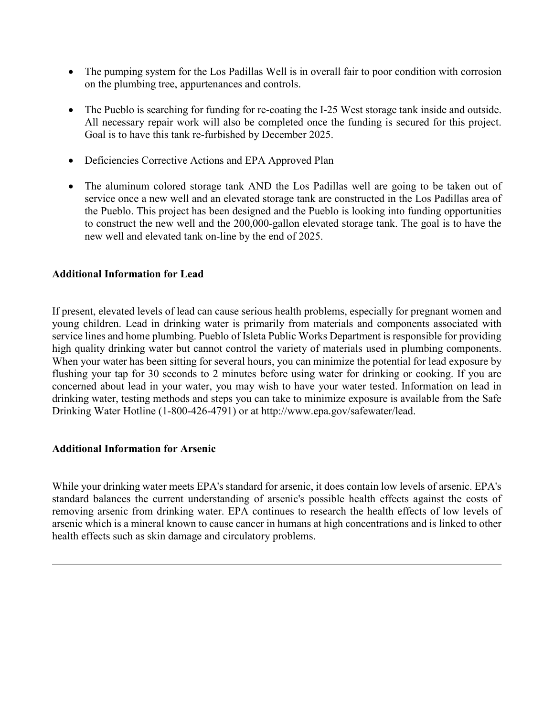- The pumping system for the Los Padillas Well is in overall fair to poor condition with corrosion on the plumbing tree, appurtenances and controls.
- The Pueblo is searching for funding for re-coating the I-25 West storage tank inside and outside. All necessary repair work will also be completed once the funding is secured for this project. Goal is to have this tank re-furbished by December 2025.
- Deficiencies Corrective Actions and EPA Approved Plan
- The aluminum colored storage tank AND the Los Padillas well are going to be taken out of service once a new well and an elevated storage tank are constructed in the Los Padillas area of the Pueblo. This project has been designed and the Pueblo is looking into funding opportunities to construct the new well and the 200,000-gallon elevated storage tank. The goal is to have the new well and elevated tank on-line by the end of 2025.

#### **Additional Information for Lead**

If present, elevated levels of lead can cause serious health problems, especially for pregnant women and young children. Lead in drinking water is primarily from materials and components associated with service lines and home plumbing. Pueblo of Isleta Public Works Department is responsible for providing high quality drinking water but cannot control the variety of materials used in plumbing components. When your water has been sitting for several hours, you can minimize the potential for lead exposure by flushing your tap for 30 seconds to 2 minutes before using water for drinking or cooking. If you are concerned about lead in your water, you may wish to have your water tested. Information on lead in drinking water, testing methods and steps you can take to minimize exposure is available from the Safe Drinking Water Hotline (1-800-426-4791) or at http://www.epa.gov/safewater/lead.

#### **Additional Information for Arsenic**

While your drinking water meets EPA's standard for arsenic, it does contain low levels of arsenic. EPA's standard balances the current understanding of arsenic's possible health effects against the costs of removing arsenic from drinking water. EPA continues to research the health effects of low levels of arsenic which is a mineral known to cause cancer in humans at high concentrations and is linked to other health effects such as skin damage and circulatory problems.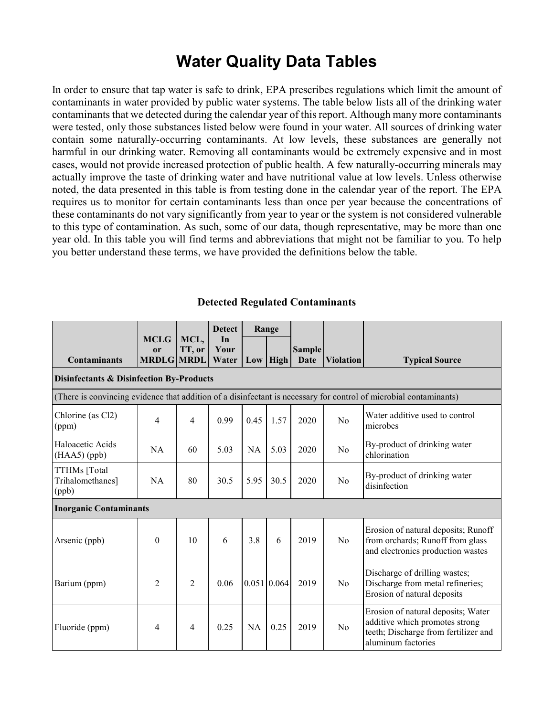# **Water Quality Data Tables**

In order to ensure that tap water is safe to drink, EPA prescribes regulations which limit the amount of contaminants in water provided by public water systems. The table below lists all of the drinking water contaminants that we detected during the calendar year of this report. Although many more contaminants were tested, only those substances listed below were found in your water. All sources of drinking water contain some naturally-occurring contaminants. At low levels, these substances are generally not harmful in our drinking water. Removing all contaminants would be extremely expensive and in most cases, would not provide increased protection of public health. A few naturally-occurring minerals may actually improve the taste of drinking water and have nutritional value at low levels. Unless otherwise noted, the data presented in this table is from testing done in the calendar year of the report. The EPA requires us to monitor for certain contaminants less than once per year because the concentrations of these contaminants do not vary significantly from year to year or the system is not considered vulnerable to this type of contamination. As such, some of our data, though representative, may be more than one year old. In this table you will find terms and abbreviations that might not be familiar to you. To help you better understand these terms, we have provided the definitions below the table.

#### **Detected Regulated Contaminants**

|                                                     | <b>MCLG</b>                        | MCL,           | <b>Detect</b><br>In | Range |               |                       |                  |                                                                                                                                    |  |
|-----------------------------------------------------|------------------------------------|----------------|---------------------|-------|---------------|-----------------------|------------------|------------------------------------------------------------------------------------------------------------------------------------|--|
| <b>Contaminants</b>                                 | <sub>or</sub><br><b>MRDLG MRDL</b> | TT, or         | Your<br>Water       |       | $Low$   High  | <b>Sample</b><br>Date | <b>Violation</b> | <b>Typical Source</b>                                                                                                              |  |
| <b>Disinfectants &amp; Disinfection By-Products</b> |                                    |                |                     |       |               |                       |                  |                                                                                                                                    |  |
|                                                     |                                    |                |                     |       |               |                       |                  | (There is convincing evidence that addition of a disinfectant is necessary for control of microbial contaminants)                  |  |
| Chlorine (as Cl2)<br>(ppm)                          | 4                                  | $\overline{4}$ | 0.99                | 0.45  | 1.57          | 2020                  | No               | Water additive used to control<br>microbes                                                                                         |  |
| Haloacetic Acids<br>$(HAA5)$ (ppb)                  | <b>NA</b>                          | 60             | 5.03                | NA    | 5.03          | 2020                  | No               | By-product of drinking water<br>chlorination                                                                                       |  |
| TTHMs [Total<br>Trihalomethanes]<br>(ppb)           | NA                                 | 80             | 30.5                | 5.95  | 30.5          | 2020                  | N <sub>0</sub>   | By-product of drinking water<br>disinfection                                                                                       |  |
| <b>Inorganic Contaminants</b>                       |                                    |                |                     |       |               |                       |                  |                                                                                                                                    |  |
| Arsenic (ppb)                                       | $\boldsymbol{0}$                   | 10             | 6                   | 3.8   | 6             | 2019                  | No               | Erosion of natural deposits; Runoff<br>from orchards; Runoff from glass<br>and electronics production wastes                       |  |
| Barium (ppm)                                        | $\overline{2}$                     | $\overline{2}$ | 0.06                |       | 0.051   0.064 | 2019                  | No               | Discharge of drilling wastes;<br>Discharge from metal refineries;<br>Erosion of natural deposits                                   |  |
| Fluoride (ppm)                                      | $\overline{4}$                     | $\overline{4}$ | 0.25                | NA    | 0.25          | 2019                  | No               | Erosion of natural deposits; Water<br>additive which promotes strong<br>teeth; Discharge from fertilizer and<br>aluminum factories |  |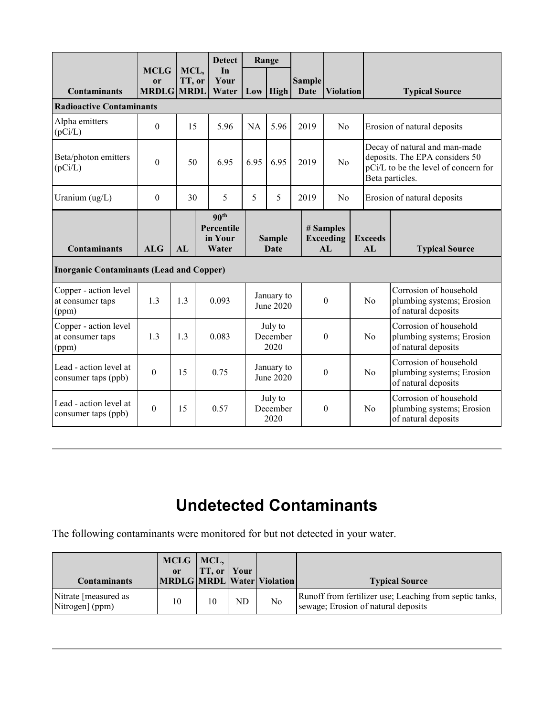|                                                    |                                                   |                |  | <b>Detect</b>                                      | Range                        |                         |  |                       |                                                  |  |                                                                                                                            |                                                                            |
|----------------------------------------------------|---------------------------------------------------|----------------|--|----------------------------------------------------|------------------------------|-------------------------|--|-----------------------|--------------------------------------------------|--|----------------------------------------------------------------------------------------------------------------------------|----------------------------------------------------------------------------|
| <b>Contaminants</b>                                | <b>MCLG</b><br><sub>or</sub><br><b>MRDLG MRDL</b> | MCL,<br>TT, or |  | In<br>Your<br>Water                                |                              | Low High                |  | <b>Sample</b><br>Date | <b>Violation</b>                                 |  |                                                                                                                            | <b>Typical Source</b>                                                      |
| <b>Radioactive Contaminants</b>                    |                                                   |                |  |                                                    |                              |                         |  |                       |                                                  |  |                                                                                                                            |                                                                            |
| Alpha emitters<br>(pCi/L)                          | $\theta$                                          | 15             |  | 5.96                                               | <b>NA</b>                    | 5.96                    |  | 2019                  | No                                               |  | Erosion of natural deposits                                                                                                |                                                                            |
| Beta/photon emitters<br>(pCi/L)                    | $\overline{0}$                                    | 50             |  | 6.95                                               | 6.95                         | 6.95                    |  | 2019                  | No                                               |  | Decay of natural and man-made<br>deposits. The EPA considers 50<br>pCi/L to be the level of concern for<br>Beta particles. |                                                                            |
| Uranium $(ug/L)$                                   | $\Omega$                                          | 30             |  | 5                                                  | 5                            | 5                       |  | 2019                  | No                                               |  |                                                                                                                            | Erosion of natural deposits                                                |
| <b>Contaminants</b>                                | <b>ALG</b>                                        | AL             |  | 90 <sup>th</sup><br>Percentile<br>in Your<br>Water | <b>Sample</b><br><b>Date</b> |                         |  |                       | # Samples<br><b>Exceeding</b><br>AI <sub>1</sub> |  | <b>Exceeds</b><br>AI                                                                                                       | <b>Typical Source</b>                                                      |
| <b>Inorganic Contaminants (Lead and Copper)</b>    |                                                   |                |  |                                                    |                              |                         |  |                       |                                                  |  |                                                                                                                            |                                                                            |
| Copper - action level<br>at consumer taps<br>(ppm) | 1.3                                               | 1.3            |  | 0.093                                              |                              | January to<br>June 2020 |  | $\theta$              |                                                  |  | No                                                                                                                         | Corrosion of household<br>plumbing systems; Erosion<br>of natural deposits |
| Copper - action level<br>at consumer taps<br>(ppm) | 1.3                                               | 1.3            |  | 0.083                                              | July to<br>December<br>2020  |                         |  | $\theta$              |                                                  |  | No                                                                                                                         | Corrosion of household<br>plumbing systems; Erosion<br>of natural deposits |
| Lead - action level at<br>consumer taps (ppb)      | $\theta$                                          | 15             |  | 0.75                                               | January to<br>June 2020      |                         |  | $\theta$              |                                                  |  | No                                                                                                                         | Corrosion of household<br>plumbing systems; Erosion<br>of natural deposits |
| Lead - action level at<br>consumer taps (ppb)      | $\Omega$                                          | 15             |  | 0.57                                               | July to<br>December<br>2020  |                         |  | $\theta$              |                                                  |  | No                                                                                                                         | Corrosion of household<br>plumbing systems; Erosion<br>of natural deposits |

# **Undetected Contaminants**

The following contaminants were monitored for but not detected in your water.

| <b>Contaminants</b>                     | $MCLG$   MCL,  <br>or | TT, or <i>Your</i> |    | MRDLG MRDL Water Violation | <b>Typical Source</b>                                                                          |
|-----------------------------------------|-----------------------|--------------------|----|----------------------------|------------------------------------------------------------------------------------------------|
| Nitrate [measured as<br>Nitrogen] (ppm) | 10                    | 10                 | ND | N <sub>o</sub>             | Runoff from fertilizer use; Leaching from septic tanks,<br>sewage; Erosion of natural deposits |